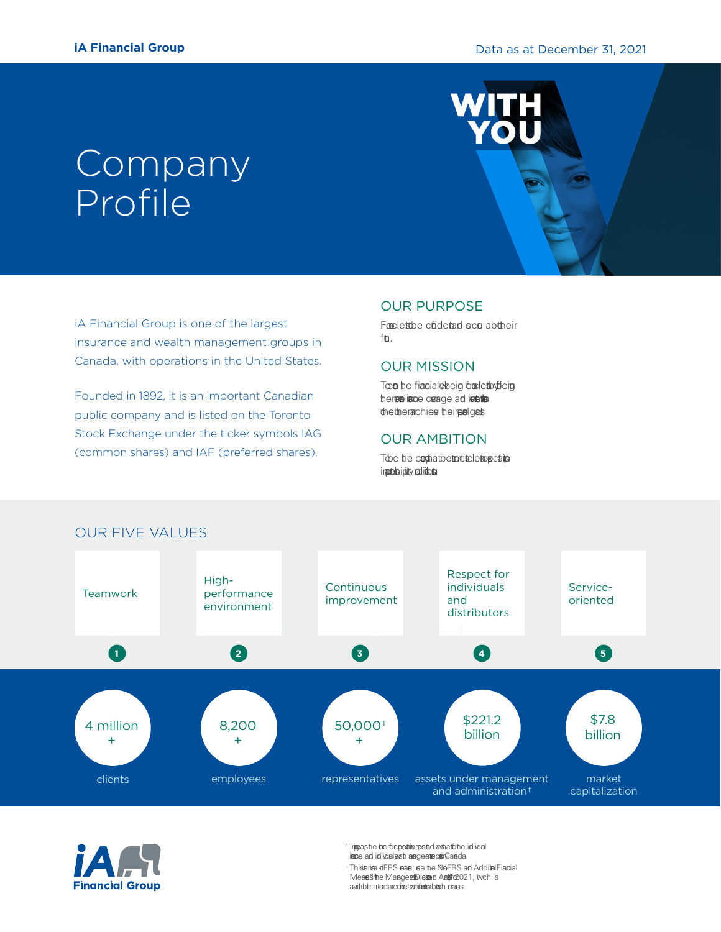# **Company** Profile

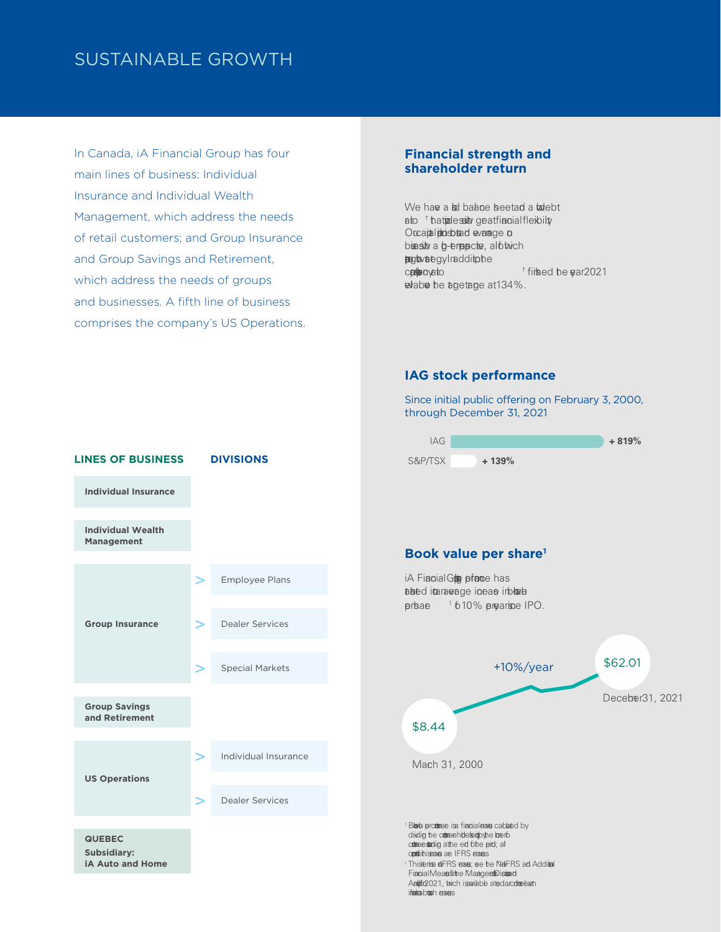### SUSTAINABLE GROWTH

In Canada, iA Financial Group has four main lines of business: Individual Insurance and Individual Wealth Management, which address the needs of retail customers; and Group Insurance and Group Savings and Retirement, which address the needs of groups and businesses. A fifth line of business comprises the company's US Operations.

#### **Financial strength and shareholder return**

We have a bool balance beet and a boolebt aito that pressilly geat anial eibility. Our capital problem of every capital position is even in the capital series of the contract and we make an busily a b-empective, al othich **suport of the strategy. In addition.**<br>Companyation ibed the gar2021 where the targetage at 134%.

#### **IAG stock performance**

Since initial public o ering on February 3, 2000, through December 31, 2021

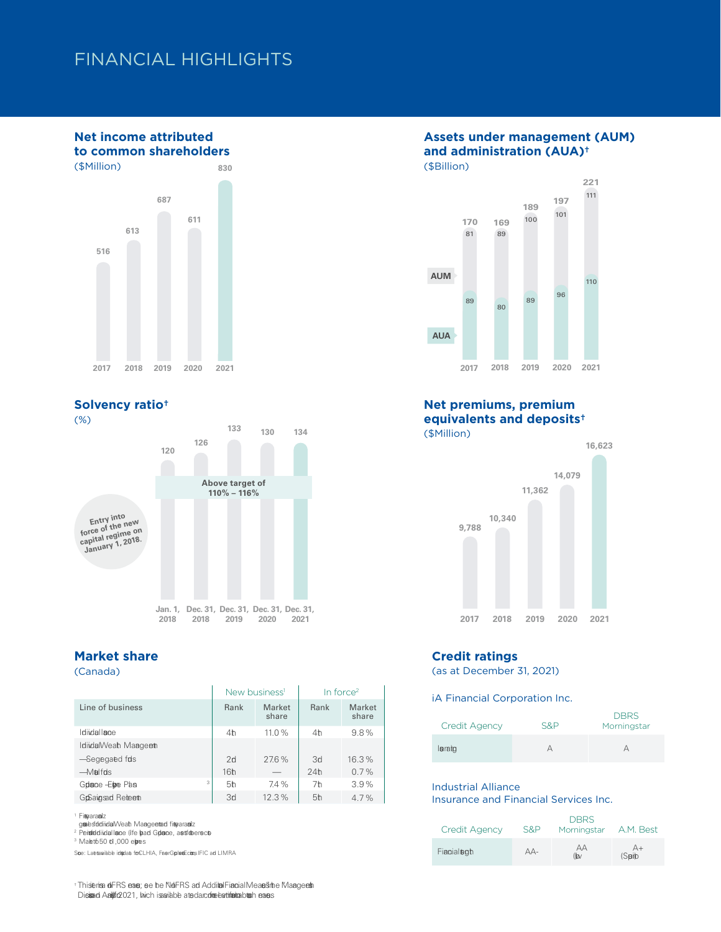### FINANCIAL HIGHLIGHTS

#### **Net income attributed to common shareholders**





### **Market share**

(Canada)

|                       | New business <sup>1</sup> |                 | In force $2$   |                 |
|-----------------------|---------------------------|-----------------|----------------|-----------------|
| Line of business      | Rank                      | Market<br>share | Rank           | Market<br>share |
| Idiidal Inne          | 4 <sup>h</sup>            | 11.0%           | 4 <sub>h</sub> | 9.8%            |
| IdiidalWealh Maageerh |                           |                 |                |                 |
| Segegaed fds          | 2d                        | 27.6%           | 3d             | 16.3%           |
| <b>Malfds</b>         | 16 <sup>h</sup>           |                 | 24h            | 0.7%            |
| 3<br>Golance Elge Pha | 5 <sup>h</sup>            | 7.4%            | 7 <sub>h</sub> | 3.9%            |
| GrSaigsad Reiteerth   | 3d                        | 12.3%           | 5 <sub>h</sub> | 4.7%            |

<span id="page-2-0"></span>

1 Filigraranded immetrifie, disbiltad citcal ib)sfoldiidal Inse,<br>grosesfoldiidalWealth Management agraanded profitiobersc

<span id="page-2-1"></span> $2$  Peinfoldidal Inde (Ife  $\overline{a}$ ad Groupe, as for order sectors  $\overline{a}$ 

<span id="page-2-2"></span> $3$  Maket  $650$  to  $1,000$  elgres

Soe: Laeta aibbe idgitable for CLHIA, Frase Group Econstruction and LIMRA

### **Assets under management (AUM) and administration (AUA) †**



#### **Net premiums, premium equivalents and deposits †** (\$Million)





#### **Credit ratings**

(as at December 31, 2021)

iA Financial Corporation Inc.

| Credit Agency | S&P | <b>DBRS</b><br>Morningstar |
|---------------|-----|----------------------------|
| leraito       |     |                            |

#### Industrial Alliance

Insurance and Financial Services Inc.

| <b>Credit Agency</b> | S&P | <b>DBRS</b><br>Morningstar | A.M. Best     |
|----------------------|-----|----------------------------|---------------|
| Fiacialogh           | AA- | AA<br>$\omega$             | $A+$<br>(Spip |

This entry different means; see the Non-IFRS and Addition Financial Means in the Managements of the Managements in the Managements of the Managements of the Managements of the Managements of the Managements of the Manageme Disiand Anlyfo2021, which is available at sedarcrime bartifinita blush erans.